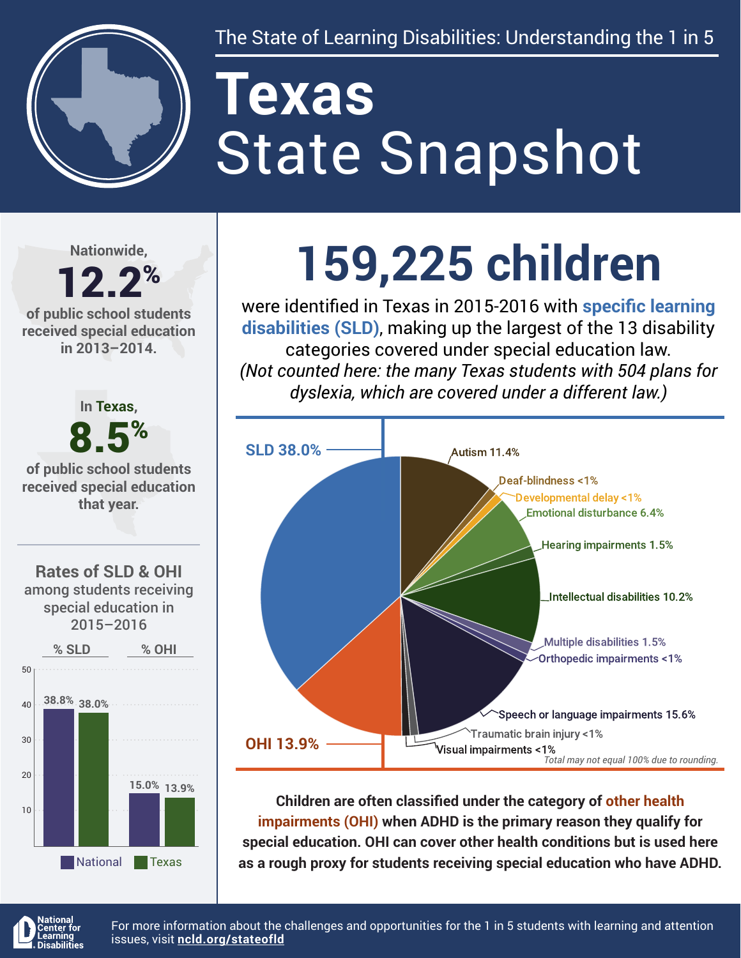

# State Snapshot **Texas**

**Nationwide,**

#### 12.2% **of public school students received special education in 2013–2014.**



## **159,225 children**

were identified in Texas in 2015-2016 with **specific learning disabilities (SLD)**, making up the largest of the 13 disability categories covered under special education law. *(Not counted here: the many Texas students with 504 plans for dyslexia, which are covered under a different law.)*



**Children are often classified under the category of other health impairments (OHI) when ADHD is the primary reason they qualify for special education. OHI can cover other health conditions but is used here as a rough proxy for students receiving special education who have ADHD.**



For more information about the challenges and opportunities for the 1 in 5 students with learning and attention issues, visit **[ncld.org/stateofld](http://ncld.org/stateofld)**